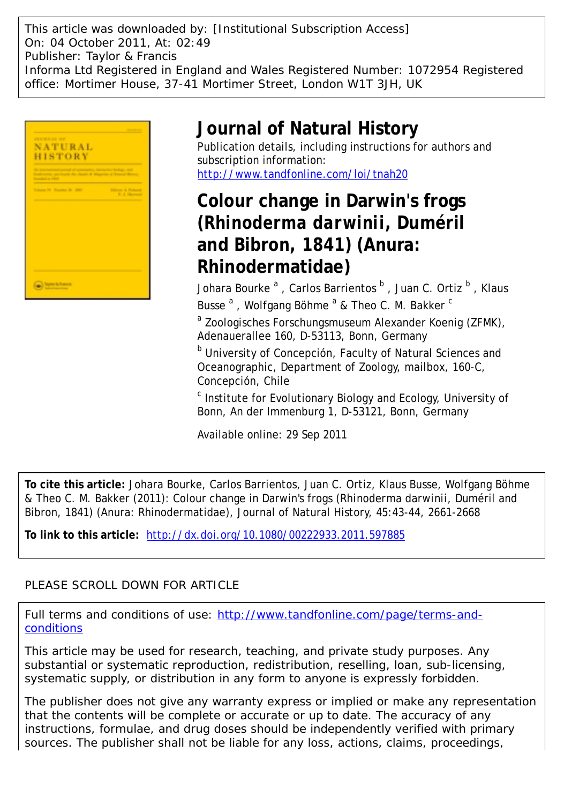This article was downloaded by: [Institutional Subscription Access] On: 04 October 2011, At: 02:49 Publisher: Taylor & Francis Informa Ltd Registered in England and Wales Registered Number: 1072954 Registered office: Mortimer House, 37-41 Mortimer Street, London W1T 3JH, UK



# **Journal of Natural History**

Publication details, including instructions for authors and subscription information: <http://www.tandfonline.com/loi/tnah20>

**Colour change in Darwin's frogs (***Rhinoderma darwinii***, Duméril and Bibron, 1841) (Anura: Rhinodermatidae)**

Johara Bourke  $^{\mathrm{a}}$  , Carlos Barrientos  $^{\mathrm{b}}$  , Juan C. Ortiz  $^{\mathrm{b}}$  , Klaus Busse<sup>a</sup>, Wolfgang Böhme<sup>a</sup> & Theo C. M. Bakker<sup>c</sup>

<sup>a</sup> Zoologisches Forschungsmuseum Alexander Koenig (ZFMK), Adenauerallee 160, D-53113, Bonn, Germany

**b** University of Concepción, Faculty of Natural Sciences and Oceanographic, Department of Zoology, mailbox, 160-C, Concepción, Chile

<sup>c</sup> Institute for Evolutionary Biology and Ecology, University of Bonn, An der Immenburg 1, D-53121, Bonn, Germany

Available online: 29 Sep 2011

**To cite this article:** Johara Bourke, Carlos Barrientos, Juan C. Ortiz, Klaus Busse, Wolfgang Böhme & Theo C. M. Bakker (2011): Colour change in Darwin's frogs (*Rhinoderma darwinii*, Duméril and Bibron, 1841) (Anura: Rhinodermatidae), Journal of Natural History, 45:43-44, 2661-2668

**To link to this article:** <http://dx.doi.org/10.1080/00222933.2011.597885>

# PLEASE SCROLL DOWN FOR ARTICLE

Full terms and conditions of use: [http://www.tandfonline.com/page/terms-and](http://www.tandfonline.com/page/terms-and-conditions)[conditions](http://www.tandfonline.com/page/terms-and-conditions)

This article may be used for research, teaching, and private study purposes. Any substantial or systematic reproduction, redistribution, reselling, loan, sub-licensing, systematic supply, or distribution in any form to anyone is expressly forbidden.

The publisher does not give any warranty express or implied or make any representation that the contents will be complete or accurate or up to date. The accuracy of any instructions, formulae, and drug doses should be independently verified with primary sources. The publisher shall not be liable for any loss, actions, claims, proceedings,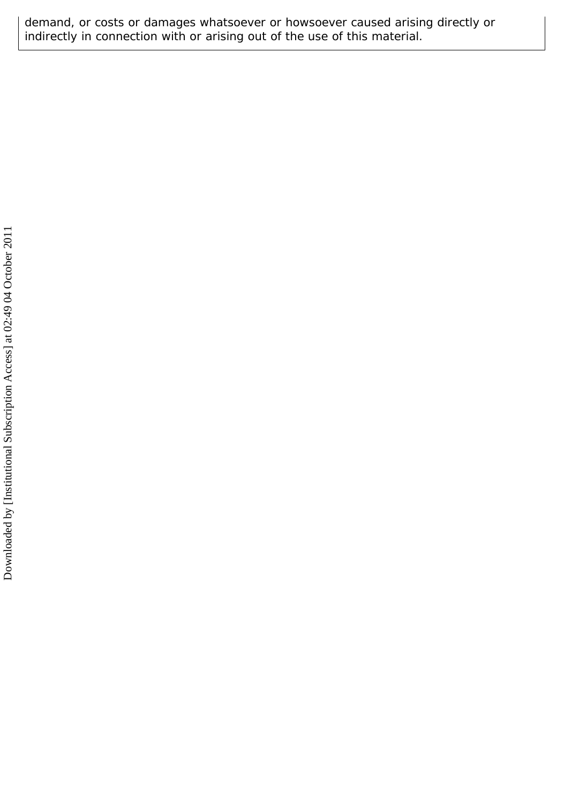demand, or costs or damages whatsoever or howsoever caused arising directly or indirectly in connection with or arising out of the use of this material.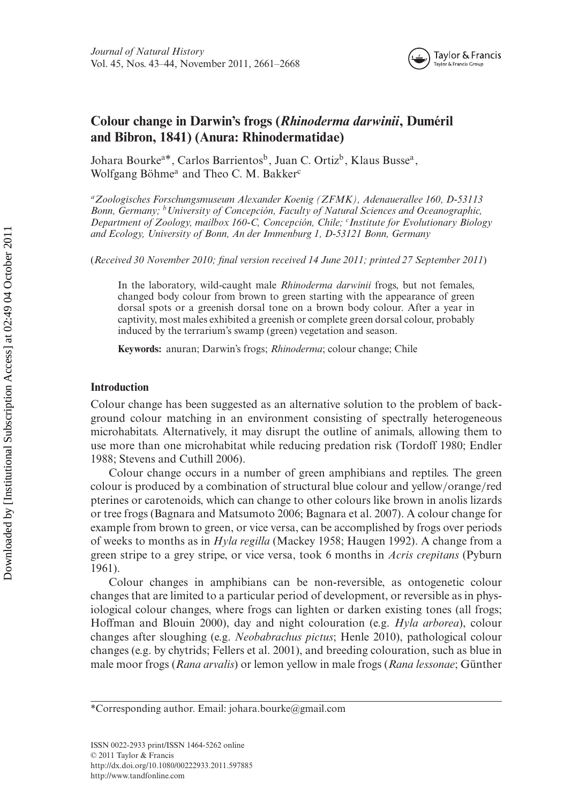

# **Colour change in Darwin's frogs (***Rhinoderma darwinii***, Duméril and Bibron, 1841) (Anura: Rhinodermatidae)**

Johara Bourke<sup>a\*</sup>, Carlos Barrientos<sup>b</sup>, Juan C. Ortiz<sup>b</sup>, Klaus Busse<sup>a</sup>, Wolfgang Böhme<sup>a</sup> and Theo C. M. Bakker<sup>c</sup>

*aZoologisches Forschungsmuseum Alexander Koenig (ZFMK), Adenauerallee 160, D-53113 Bonn, Germany; bUniversity of Concepción, Faculty of Natural Sciences and Oceanographic, Department of Zoology, mailbox 160-C, Concepción, Chile; <sup>c</sup> Institute for Evolutionary Biology and Ecology, University of Bonn, An der Immenburg 1, D-53121 Bonn, Germany*

(*Received 30 November 2010; final version received 14 June 2011; printed 27 September 2011*)

In the laboratory, wild-caught male *Rhinoderma darwinii* frogs, but not females, changed body colour from brown to green starting with the appearance of green dorsal spots or a greenish dorsal tone on a brown body colour. After a year in captivity, most males exhibited a greenish or complete green dorsal colour, probably induced by the terrarium's swamp (green) vegetation and season.

**Keywords:** anuran; Darwin's frogs; *Rhinoderma*; colour change; Chile

# **Introduction**

Colour change has been suggested as an alternative solution to the problem of background colour matching in an environment consisting of spectrally heterogeneous microhabitats. Alternatively, it may disrupt the outline of animals, allowing them to use more than one microhabitat while reducing predation risk (Tordoff 1980; Endler 1988; Stevens and Cuthill 2006).

Colour change occurs in a number of green amphibians and reptiles. The green colour is produced by a combination of structural blue colour and yellow*/*orange*/*red pterines or carotenoids, which can change to other colours like brown in anolis lizards or tree frogs (Bagnara and Matsumoto 2006; Bagnara et al. 2007). A colour change for example from brown to green, or vice versa, can be accomplished by frogs over periods of weeks to months as in *Hyla regilla* (Mackey 1958; Haugen 1992). A change from a green stripe to a grey stripe, or vice versa, took 6 months in *Acris crepitans* (Pyburn 1961).

Colour changes in amphibians can be non-reversible, as ontogenetic colour changes that are limited to a particular period of development, or reversible as in physiological colour changes, where frogs can lighten or darken existing tones (all frogs; Hoffman and Blouin 2000), day and night colouration (e.g. *Hyla arborea*), colour changes after sloughing (e.g. *Neobabrachus pictus*; Henle 2010), pathological colour changes (e.g. by chytrids; Fellers et al. 2001), and breeding colouration, such as blue in male moor frogs (*Rana arvalis*) or lemon yellow in male frogs (*Rana lessonae*; Günther

<sup>\*</sup>Corresponding author. Email: johara.[bourke@gmail.com](mailto:bourke@gmail.com)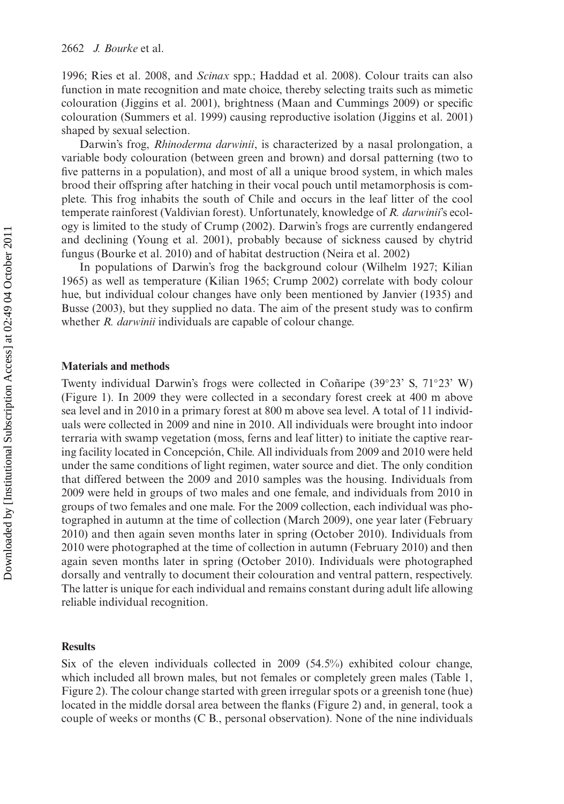1996; Ries et al. 2008, and *Scinax* spp.; Haddad et al. 2008). Colour traits can also function in mate recognition and mate choice, thereby selecting traits such as mimetic colouration (Jiggins et al. 2001), brightness (Maan and Cummings 2009) or specific colouration (Summers et al. 1999) causing reproductive isolation (Jiggins et al. 2001) shaped by sexual selection.

Darwin's frog, *Rhinoderma darwinii*, is characterized by a nasal prolongation, a variable body colouration (between green and brown) and dorsal patterning (two to five patterns in a population), and most of all a unique brood system, in which males brood their offspring after hatching in their vocal pouch until metamorphosis is complete. This frog inhabits the south of Chile and occurs in the leaf litter of the cool temperate rainforest (Valdivian forest). Unfortunately, knowledge of *R. darwinii*'s ecology is limited to the study of Crump (2002). Darwin's frogs are currently endangered and declining (Young et al. 2001), probably because of sickness caused by chytrid fungus (Bourke et al. 2010) and of habitat destruction (Neira et al. 2002)

In populations of Darwin's frog the background colour (Wilhelm 1927; Kilian 1965) as well as temperature (Kilian 1965; Crump 2002) correlate with body colour hue, but individual colour changes have only been mentioned by Janvier (1935) and Busse (2003), but they supplied no data. The aim of the present study was to confirm whether *R. darwinii* individuals are capable of colour change.

#### **Materials and methods**

Twenty individual Darwin's frogs were collected in Coñaripe (39◦23' S, 71◦23' W) (Figure 1). In 2009 they were collected in a secondary forest creek at 400 m above sea level and in 2010 in a primary forest at 800 m above sea level. A total of 11 individuals were collected in 2009 and nine in 2010. All individuals were brought into indoor terraria with swamp vegetation (moss, ferns and leaf litter) to initiate the captive rearing facility located in Concepción, Chile. All individuals from 2009 and 2010 were held under the same conditions of light regimen, water source and diet. The only condition that differed between the 2009 and 2010 samples was the housing. Individuals from 2009 were held in groups of two males and one female, and individuals from 2010 in groups of two females and one male. For the 2009 collection, each individual was photographed in autumn at the time of collection (March 2009), one year later (February 2010) and then again seven months later in spring (October 2010). Individuals from 2010 were photographed at the time of collection in autumn (February 2010) and then again seven months later in spring (October 2010). Individuals were photographed dorsally and ventrally to document their colouration and ventral pattern, respectively. The latter is unique for each individual and remains constant during adult life allowing reliable individual recognition.

# **Results**

Six of the eleven individuals collected in 2009 (54.5%) exhibited colour change, which included all brown males, but not females or completely green males (Table 1, Figure 2). The colour change started with green irregular spots or a greenish tone (hue) located in the middle dorsal area between the flanks (Figure 2) and, in general, took a couple of weeks or months (C B., personal observation). None of the nine individuals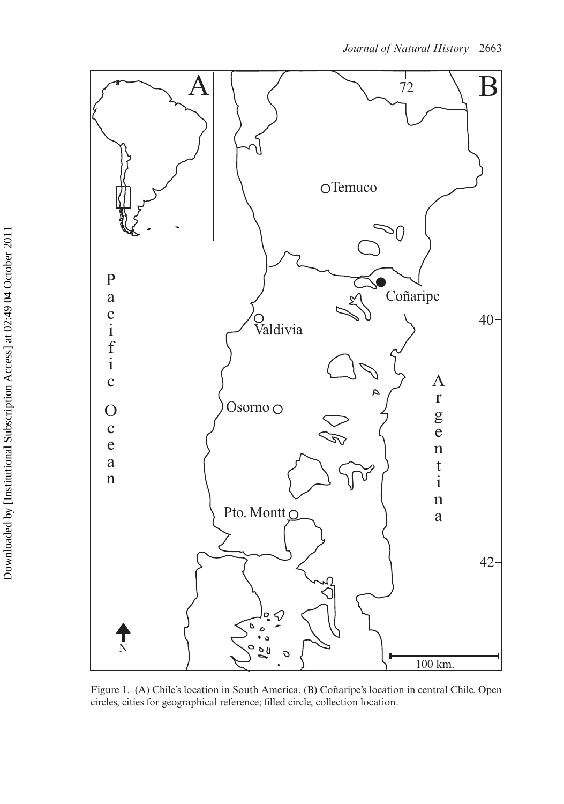

Figure 1. (A) Chile's location in South America. (B) Coñaripe's location in central Chile. Open circles, cities for geographical reference; filled circle, collection location.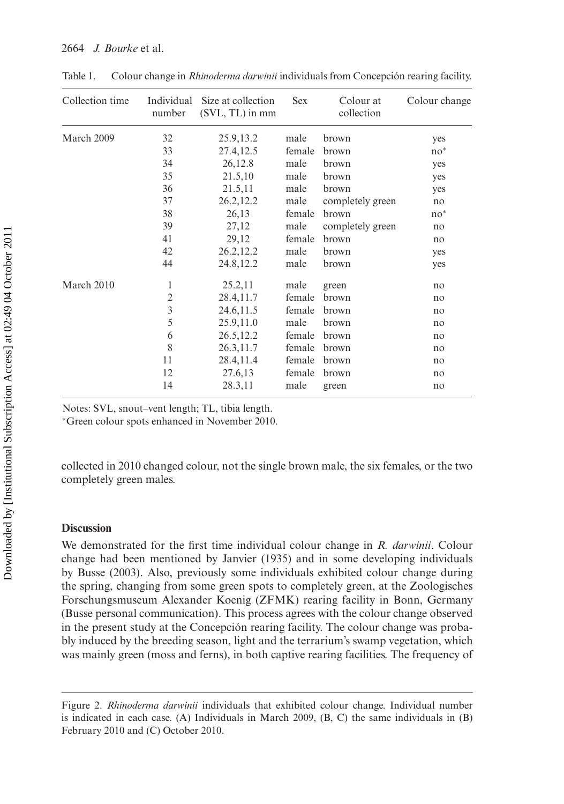| Collection time | number         | Individual Size at collection<br>$(SVL, TL)$ in mm | <b>Sex</b> | Colour at<br>collection | Colour change |
|-----------------|----------------|----------------------------------------------------|------------|-------------------------|---------------|
| March 2009      | 32             | 25.9, 13.2                                         | male       | brown                   | yes           |
|                 | 33             | 27.4,12.5                                          | female     | brown                   | $no^*$        |
|                 | 34             | 26,12.8                                            | male       | brown                   | yes           |
|                 | 35             | 21.5,10                                            | male       | brown                   | yes           |
|                 | 36             | 21.5,11                                            | male       | brown                   | yes           |
|                 | 37             | 26.2, 12.2                                         | male       | completely green        | no            |
|                 | 38             | 26,13                                              | female     | brown                   | $no^*$        |
|                 | 39             | 27,12                                              | male       | completely green        | no            |
|                 | 41             | 29,12                                              | female     | brown                   | no            |
|                 | 42             | 26.2, 12.2                                         | male       | brown                   | yes           |
|                 | 44             | 24.8, 12.2                                         | male       | brown                   | yes           |
| March 2010      | 1              | 25.2,11                                            | male       | green                   | no            |
|                 | $\overline{2}$ | 28.4,11.7                                          | female     | brown                   | no            |
|                 | 3              | 24.6, 11.5                                         | female     | brown                   | no            |
|                 | 5              | 25.9,11.0                                          | male       | brown                   | no            |
|                 | 6              | 26.5, 12.2                                         | female     | brown                   | no            |
|                 | 8              | 26.3,11.7                                          | female     | brown                   | no            |
|                 | 11             | 28.4,11.4                                          | female     | brown                   | no            |
|                 | 12             | 27.6,13                                            | female     | brown                   | no            |
|                 | 14             | 28.3,11                                            | male       | green                   | no            |
|                 |                |                                                    |            |                         |               |

Table 1. Colour change in *Rhinoderma darwinii* individuals from Concepción rearing facility.

Notes: SVL, snout–vent length; TL, tibia length.

<sup>∗</sup>Green colour spots enhanced in November 2010.

collected in 2010 changed colour, not the single brown male, the six females, or the two completely green males.

## **Discussion**

We demonstrated for the first time individual colour change in *R. darwinii*. Colour change had been mentioned by Janvier (1935) and in some developing individuals by Busse (2003). Also, previously some individuals exhibited colour change during the spring, changing from some green spots to completely green, at the Zoologisches Forschungsmuseum Alexander Koenig (ZFMK) rearing facility in Bonn, Germany (Busse personal communication). This process agrees with the colour change observed in the present study at the Concepción rearing facility. The colour change was probably induced by the breeding season, light and the terrarium's swamp vegetation, which was mainly green (moss and ferns), in both captive rearing facilities. The frequency of

Figure 2. *Rhinoderma darwinii* individuals that exhibited colour change. Individual number is indicated in each case. (A) Individuals in March 2009, (B, C) the same individuals in (B) February 2010 and (C) October 2010.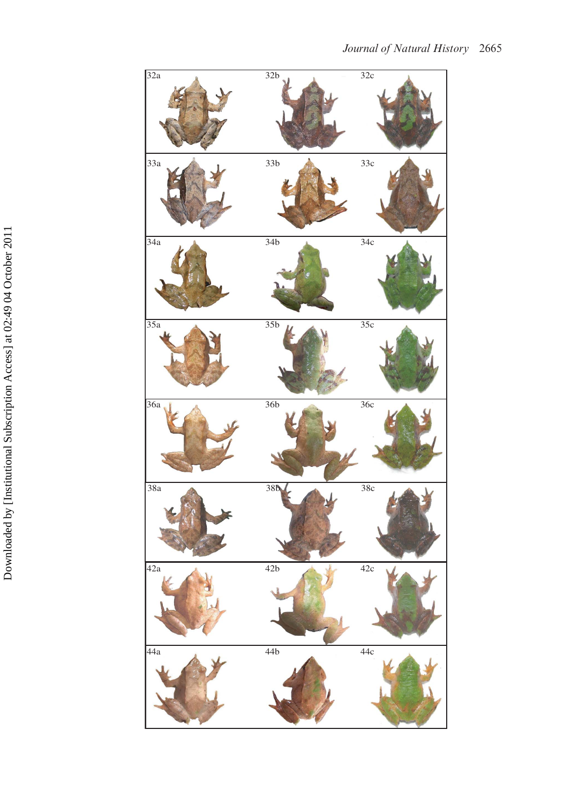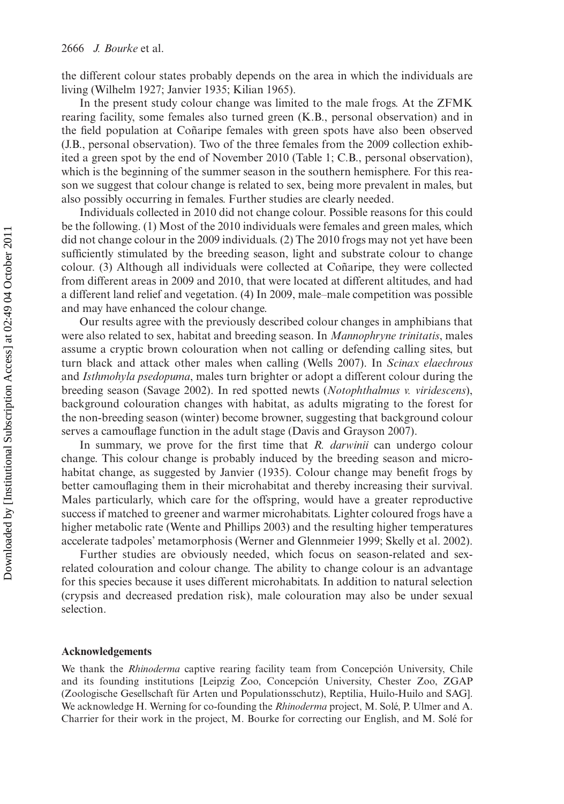the different colour states probably depends on the area in which the individuals are living (Wilhelm 1927; Janvier 1935; Kilian 1965).

In the present study colour change was limited to the male frogs. At the ZFMK rearing facility, some females also turned green (K.B., personal observation) and in the field population at Coñaripe females with green spots have also been observed (J.B., personal observation). Two of the three females from the 2009 collection exhibited a green spot by the end of November 2010 (Table 1; C.B., personal observation), which is the beginning of the summer season in the southern hemisphere. For this reason we suggest that colour change is related to sex, being more prevalent in males, but also possibly occurring in females. Further studies are clearly needed.

Individuals collected in 2010 did not change colour. Possible reasons for this could be the following. (1) Most of the 2010 individuals were females and green males, which did not change colour in the 2009 individuals. (2) The 2010 frogs may not yet have been sufficiently stimulated by the breeding season, light and substrate colour to change colour. (3) Although all individuals were collected at Coñaripe, they were collected from different areas in 2009 and 2010, that were located at different altitudes, and had a different land relief and vegetation. (4) In 2009, male–male competition was possible and may have enhanced the colour change.

Our results agree with the previously described colour changes in amphibians that were also related to sex, habitat and breeding season. In *Mannophryne trinitatis*, males assume a cryptic brown colouration when not calling or defending calling sites, but turn black and attack other males when calling (Wells 2007). In *Scinax elaechrous* and *Isthmohyla psedopuma*, males turn brighter or adopt a different colour during the breeding season (Savage 2002). In red spotted newts (*Notophthalmus v. viridescens*), background colouration changes with habitat, as adults migrating to the forest for the non-breeding season (winter) become browner, suggesting that background colour serves a camouflage function in the adult stage (Davis and Grayson 2007).

In summary, we prove for the first time that *R. darwinii* can undergo colour change. This colour change is probably induced by the breeding season and microhabitat change, as suggested by Janvier (1935). Colour change may benefit frogs by better camouflaging them in their microhabitat and thereby increasing their survival. Males particularly, which care for the offspring, would have a greater reproductive success if matched to greener and warmer microhabitats. Lighter coloured frogs have a higher metabolic rate (Wente and Phillips 2003) and the resulting higher temperatures accelerate tadpoles' metamorphosis (Werner and Glennmeier 1999; Skelly et al. 2002).

Further studies are obviously needed, which focus on season-related and sexrelated colouration and colour change. The ability to change colour is an advantage for this species because it uses different microhabitats. In addition to natural selection (crypsis and decreased predation risk), male colouration may also be under sexual selection.

#### **Acknowledgements**

We thank the *Rhinoderma* captive rearing facility team from Concepción University, Chile and its founding institutions [Leipzig Zoo, Concepción University, Chester Zoo, ZGAP (Zoologische Gesellschaft für Arten und Populationsschutz), Reptilia, Huilo-Huilo and SAG]. We acknowledge H. Werning for co-founding the *Rhinoderma* project, M. Solé, P. Ulmer and A. Charrier for their work in the project, M. Bourke for correcting our English, and M. Solé for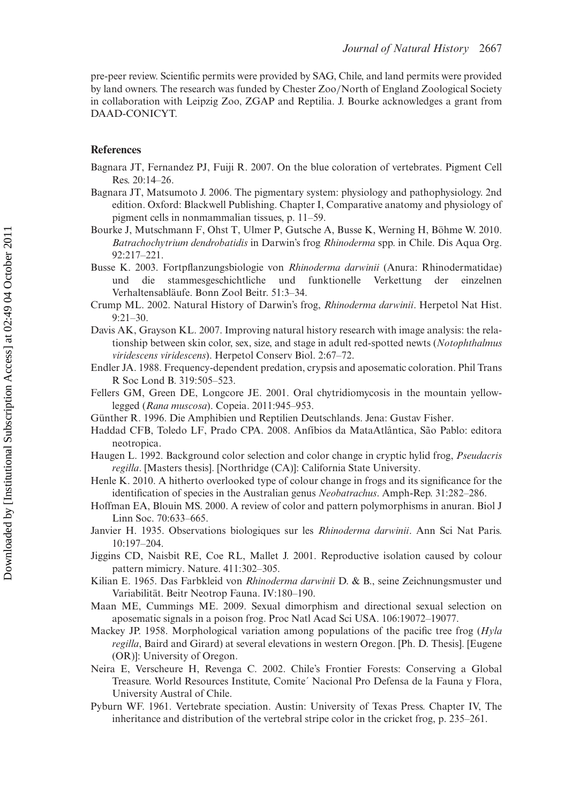pre-peer review. Scientific permits were provided by SAG, Chile, and land permits were provided by land owners. The research was funded by Chester Zoo*/*North of England Zoological Society in collaboration with Leipzig Zoo, ZGAP and Reptilia. J. Bourke acknowledges a grant from DAAD-CONICYT.

### **References**

- Bagnara JT, Fernandez PJ, Fuiji R. 2007. On the blue coloration of vertebrates. Pigment Cell Res. 20:14–26.
- Bagnara JT, Matsumoto J. 2006. The pigmentary system: physiology and pathophysiology. 2nd edition. Oxford: Blackwell Publishing. Chapter I, Comparative anatomy and physiology of pigment cells in nonmammalian tissues, p. 11–59.
- Bourke J, Mutschmann F, Ohst T, Ulmer P, Gutsche A, Busse K, Werning H, Böhme W. 2010. *Batrachochytrium dendrobatidis* in Darwin's frog *Rhinoderma* spp. in Chile. Dis Aqua Org. 92:217–221.
- Busse K. 2003. Fortpflanzungsbiologie von *Rhinoderma darwinii* (Anura: Rhinodermatidae) und die stammesgeschichtliche und funktionelle Verkettung der einzelnen Verhaltensabläufe. Bonn Zool Beitr. 51:3–34.
- Crump ML. 2002. Natural History of Darwin's frog, *Rhinoderma darwinii*. Herpetol Nat Hist. 9:21–30.
- Davis AK, Grayson KL. 2007. Improving natural history research with image analysis: the relationship between skin color, sex, size, and stage in adult red-spotted newts (*Notophthalmus viridescens viridescens*). Herpetol Conserv Biol. 2:67–72.
- Endler JA. 1988. Frequency-dependent predation, crypsis and aposematic coloration. Phil Trans R Soc Lond B. 319:505–523.
- Fellers GM, Green DE, Longcore JE. 2001. Oral chytridiomycosis in the mountain yellowlegged (*Rana muscosa*). Copeia. 2011:945–953.
- Günther R. 1996. Die Amphibien und Reptilien Deutschlands. Jena: Gustav Fisher.
- Haddad CFB, Toledo LF, Prado CPA. 2008. Anfíbios da MataAtlântica, São Pablo: editora neotropica.
- Haugen L. 1992. Background color selection and color change in cryptic hylid frog, *Pseudacris regilla*. [Masters thesis]. [Northridge (CA)]: California State University.
- Henle K. 2010. A hitherto overlooked type of colour change in frogs and its significance for the identification of species in the Australian genus *Neobatrachus*. Amph-Rep. 31:282–286.
- Hoffman EA, Blouin MS. 2000. A review of color and pattern polymorphisms in anuran. Biol J Linn Soc. 70:633–665.
- Janvier H. 1935. Observations biologiques sur les *Rhinoderma darwinii*. Ann Sci Nat Paris. 10:197–204.
- Jiggins CD, Naisbit RE, Coe RL, Mallet J. 2001. Reproductive isolation caused by colour pattern mimicry. Nature. 411:302–305.
- Kilian E. 1965. Das Farbkleid von *Rhinoderma darwinii* D. & B., seine Zeichnungsmuster und Variabilität. Beitr Neotrop Fauna. IV:180–190.
- Maan ME, Cummings ME. 2009. Sexual dimorphism and directional sexual selection on aposematic signals in a poison frog. Proc Natl Acad Sci USA. 106:19072–19077.
- Mackey JP. 1958. Morphological variation among populations of the pacific tree frog (*Hyla regilla*, Baird and Girard) at several elevations in western Oregon. [Ph. D. Thesis]. [Eugene (OR)]: University of Oregon.
- Neira E, Verscheure H, Revenga C. 2002. Chile's Frontier Forests: Conserving a Global Treasure. World Resources Institute, Comite´ Nacional Pro Defensa de la Fauna y Flora, University Austral of Chile.
- Pyburn WF. 1961. Vertebrate speciation. Austin: University of Texas Press. Chapter IV, The inheritance and distribution of the vertebral stripe color in the cricket frog, p. 235–261.